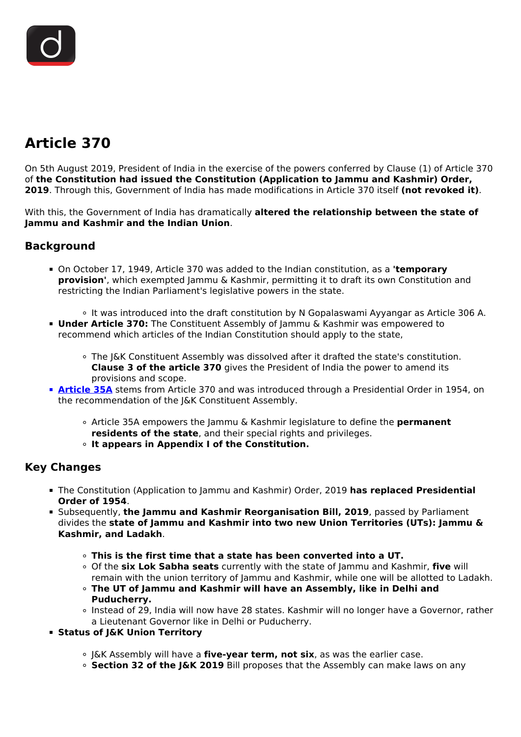# **Article 370**

On 5th August 2019, President of India in the exercise of the powers conferred by Clause (1) of Article 370 of **the Constitution had issued the Constitution (Application to Jammu and Kashmir) Order, 2019**. Through this, Government of India has made modifications in Article 370 itself **(not revoked it)**.

With this, the Government of India has dramatically **altered the relationship between the state of Jammu and Kashmir and the Indian Union**.

## **Background**

- On October 17, 1949, Article 370 was added to the Indian constitution, as a **'temporary provision'**, which exempted Jammu & Kashmir, permitting it to draft its own Constitution and restricting the Indian Parliament's legislative powers in the state.
	- It was introduced into the draft constitution by N Gopalaswami Ayyangar as Article 306 A.
- **Under Article 370:** The Constituent Assembly of Jammu & Kashmir was empowered to recommend which articles of the Indian Constitution should apply to the state,
	- The J&K Constituent Assembly was dissolved after it drafted the state's constitution. **Clause 3 of the article 370** gives the President of India the power to amend its provisions and scope.
- **[Article 35A](/to-the-points/Paper2/to-the-point-paper-2-article-35a)** stems from Article 370 and was introduced through a Presidential Order in 1954, on the recommendation of the J&K Constituent Assembly.
	- Article 35A empowers the Jammu & Kashmir legislature to define the **permanent residents of the state**, and their special rights and privileges.
	- **It appears in Appendix I of the Constitution.**

### **Key Changes**

- The Constitution (Application to Jammu and Kashmir) Order, 2019 **has replaced Presidential Order of 1954**.
- Subsequently, **the Jammu and Kashmir Reorganisation Bill, 2019**, passed by Parliament divides the **state of Jammu and Kashmir into two new Union Territories (UTs): Jammu & Kashmir, and Ladakh**.
	- **This is the first time that a state has been converted into a UT.**
	- Of the **six Lok Sabha seats** currently with the state of Jammu and Kashmir, **five** will remain with the union territory of Jammu and Kashmir, while one will be allotted to Ladakh.
	- **The UT of Jammu and Kashmir will have an Assembly, like in Delhi and Puducherry.**
	- Instead of 29, India will now have 28 states. Kashmir will no longer have a Governor, rather a Lieutenant Governor like in Delhi or Puducherry.
- **Status of J&K Union Territory**
	- J&K Assembly will have a **five-year term, not six**, as was the earlier case.
	- **Section 32 of the J&K 2019** Bill proposes that the Assembly can make laws on any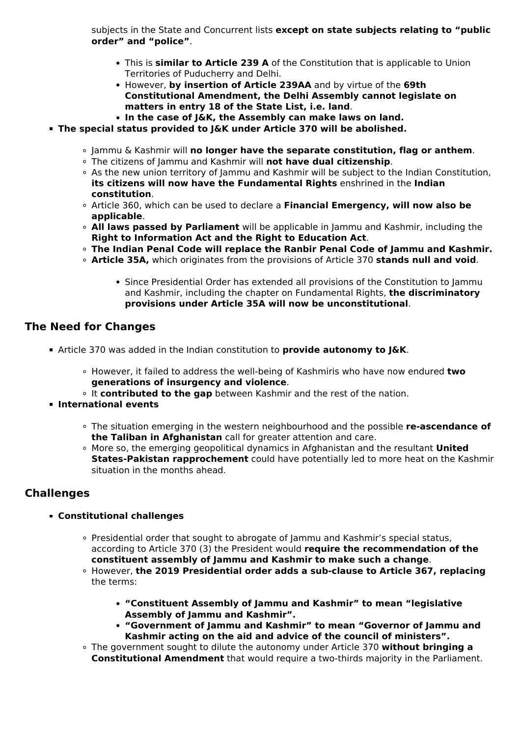subjects in the State and Concurrent lists **except on state subjects relating to "public order" and "police"**.

- This is **similar to Article 239 A** of the Constitution that is applicable to Union Territories of Puducherry and Delhi.
- However, **by insertion of Article 239AA** and by virtue of the **69th Constitutional Amendment, the Delhi Assembly cannot legislate on matters in entry 18 of the State List, i.e. land**.
- **In the case of J&K, the Assembly can make laws on land.**
- **The special status provided to J&K under Article 370 will be abolished.**
	- Jammu & Kashmir will **no longer have the separate constitution, flag or anthem**.
	- The citizens of Jammu and Kashmir will **not have dual citizenship**.
	- As the new union territory of Jammu and Kashmir will be subject to the Indian Constitution, **its citizens will now have the Fundamental Rights** enshrined in the **Indian constitution**.
	- Article 360, which can be used to declare a **Financial Emergency, will now also be applicable**.
	- **All laws passed by Parliament** will be applicable in Jammu and Kashmir, including the **Right to Information Act and the Right to Education Act**.
	- **The Indian Penal Code will replace the Ranbir Penal Code of Jammu and Kashmir.**
	- **Article 35A,** which originates from the provisions of Article 370 **stands null and void**.
		- Since Presidential Order has extended all provisions of the Constitution to Jammu and Kashmir, including the chapter on Fundamental Rights, **the discriminatory provisions under Article 35A will now be unconstitutional**.

#### **The Need for Changes**

- Article 370 was added in the Indian constitution to **provide autonomy to J&K**.
	- However, it failed to address the well-being of Kashmiris who have now endured **two generations of insurgency and violence**.
	- <sup>o</sup> It **contributed to the gap** between Kashmir and the rest of the nation.
- **International events**
	- The situation emerging in the western neighbourhood and the possible **re-ascendance of the Taliban in Afghanistan** call for greater attention and care.
	- More so, the emerging geopolitical dynamics in Afghanistan and the resultant **United States-Pakistan rapprochement** could have potentially led to more heat on the Kashmir situation in the months ahead.

### **Challenges**

- **Constitutional challenges**
	- Presidential order that sought to abrogate of Jammu and Kashmir's special status, according to Article 370 (3) the President would **require the recommendation of the constituent assembly of Jammu and Kashmir to make such a change**.
	- However, **the 2019 Presidential order adds a sub-clause to Article 367, replacing** the terms:
		- **"Constituent Assembly of Jammu and Kashmir" to mean "legislative Assembly of Jammu and Kashmir".**
		- **"Government of Jammu and Kashmir" to mean "Governor of Jammu and Kashmir acting on the aid and advice of the council of ministers".**
	- The government sought to dilute the autonomy under Article 370 **without bringing a Constitutional Amendment** that would require a two-thirds majority in the Parliament.